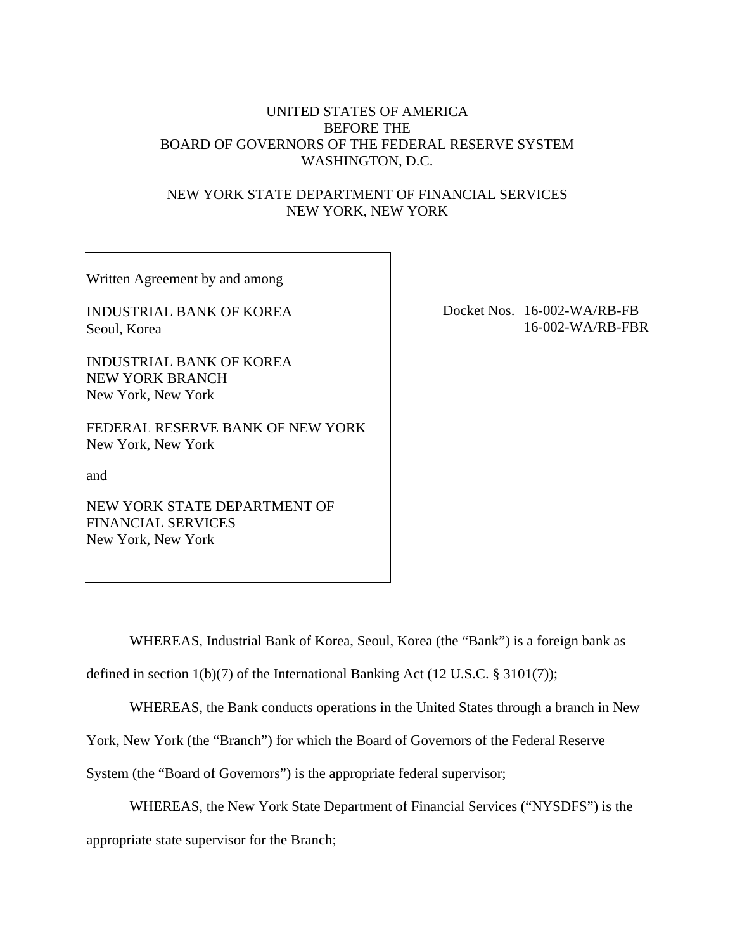# UNITED STATES OF AMERICA BEFORE THE BOARD OF GOVERNORS OF THE FEDERAL RESERVE SYSTEM WASHINGTON, D.C.

# NEW YORK STATE DEPARTMENT OF FINANCIAL SERVICES NEW YORK, NEW YORK

Written Agreement by and among

INDUSTRIAL BANK OF KOREA Seoul, Korea

INDUSTRIAL BANK OF KOREA NEW YORK BRANCH New York, New York

FEDERAL RESERVE BANK OF NEW YORK New York, New York

and

NEW YORK STATE DEPARTMENT OF FINANCIAL SERVICES New York, New York

Docket Nos. 16-002-WA/RB-FB 16-002-WA/RB-FBR

WHEREAS, Industrial Bank of Korea, Seoul, Korea (the "Bank") is a foreign bank as

defined in section 1(b)(7) of the International Banking Act (12 U.S.C. § 3101(7));

WHEREAS, the Bank conducts operations in the United States through a branch in New

York, New York (the "Branch") for which the Board of Governors of the Federal Reserve

System (the "Board of Governors") is the appropriate federal supervisor;

WHEREAS, the New York State Department of Financial Services ("NYSDFS") is the

appropriate state supervisor for the Branch;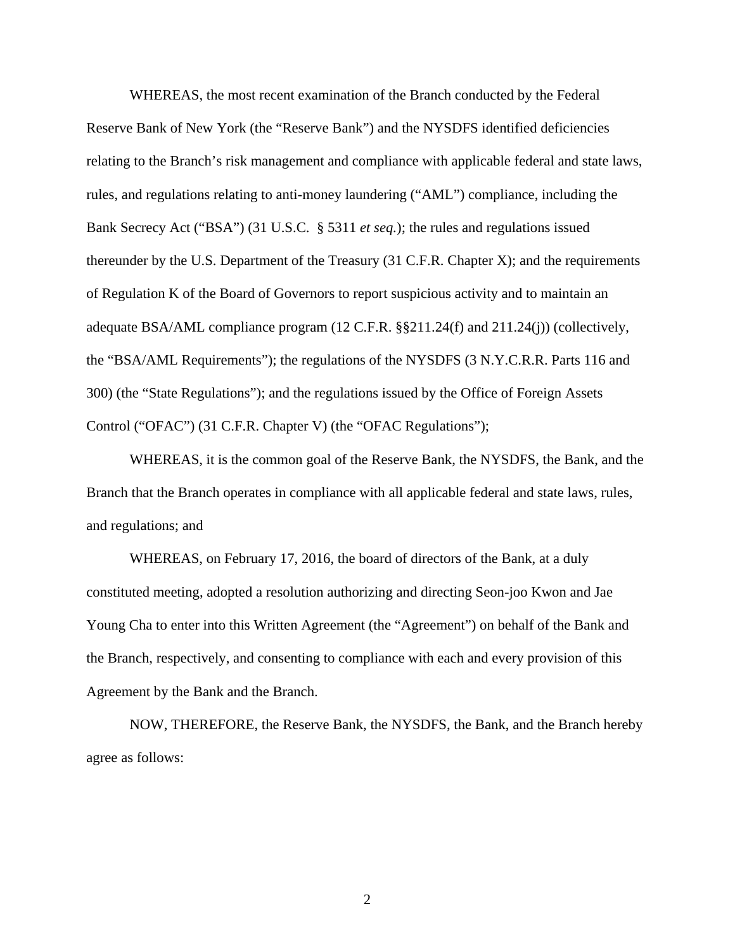WHEREAS, the most recent examination of the Branch conducted by the Federal Reserve Bank of New York (the "Reserve Bank") and the NYSDFS identified deficiencies relating to the Branch's risk management and compliance with applicable federal and state laws, rules, and regulations relating to anti-money laundering ("AML") compliance, including the Bank Secrecy Act ("BSA") (31 U.S.C. § 5311 *et seq.*); the rules and regulations issued thereunder by the U.S. Department of the Treasury (31 C.F.R. Chapter X); and the requirements of Regulation K of the Board of Governors to report suspicious activity and to maintain an adequate BSA/AML compliance program (12 C.F.R. §§211.24(f) and 211.24(j)) (collectively, the "BSA/AML Requirements"); the regulations of the NYSDFS (3 N.Y.C.R.R. Parts 116 and 300) (the "State Regulations"); and the regulations issued by the Office of Foreign Assets Control ("OFAC") (31 C.F.R. Chapter V) (the "OFAC Regulations");

WHEREAS, it is the common goal of the Reserve Bank, the NYSDFS, the Bank, and the Branch that the Branch operates in compliance with all applicable federal and state laws, rules, and regulations; and

WHEREAS, on February 17, 2016, the board of directors of the Bank, at a duly constituted meeting, adopted a resolution authorizing and directing Seon-joo Kwon and Jae Young Cha to enter into this Written Agreement (the "Agreement") on behalf of the Bank and the Branch, respectively, and consenting to compliance with each and every provision of this Agreement by the Bank and the Branch.

NOW, THEREFORE, the Reserve Bank, the NYSDFS, the Bank, and the Branch hereby agree as follows: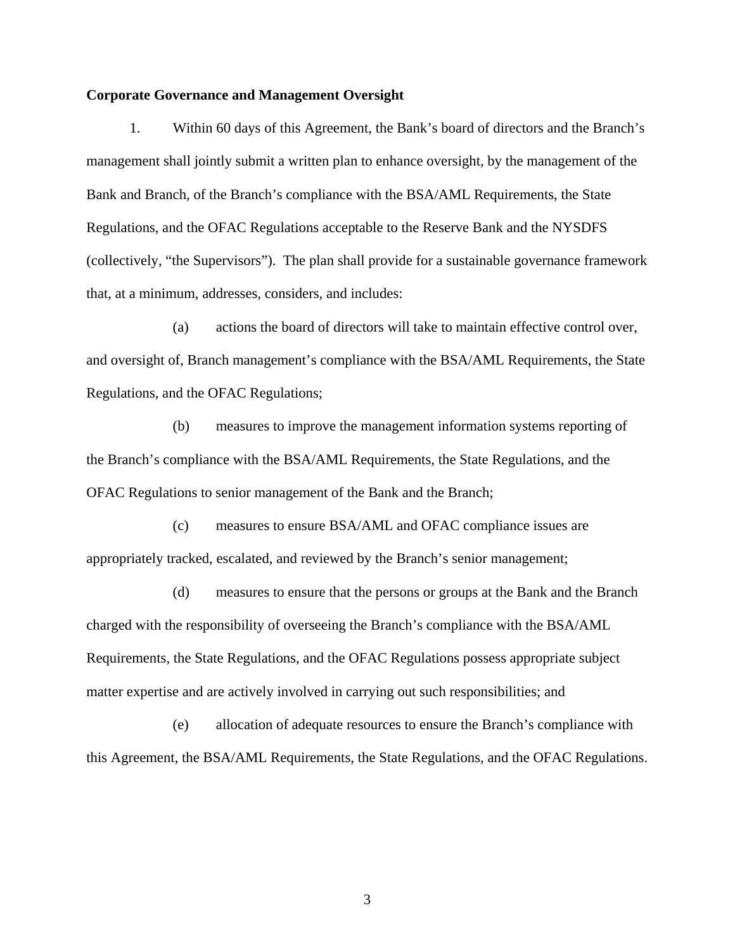#### **Corporate Governance and Management Oversight**

1. Within 60 days of this Agreement, the Bank's board of directors and the Branch's management shall jointly submit a written plan to enhance oversight, by the management of the Bank and Branch, of the Branch's compliance with the BSA/AML Requirements, the State Regulations, and the OFAC Regulations acceptable to the Reserve Bank and the NYSDFS (collectively, "the Supervisors"). The plan shall provide for a sustainable governance framework that, at a minimum, addresses, considers, and includes:

(a) actions the board of directors will take to maintain effective control over, and oversight of, Branch management's compliance with the BSA/AML Requirements, the State Regulations, and the OFAC Regulations;

(b) measures to improve the management information systems reporting of the Branch's compliance with the BSA/AML Requirements, the State Regulations, and the OFAC Regulations to senior management of the Bank and the Branch;

(c) measures to ensure BSA/AML and OFAC compliance issues are appropriately tracked, escalated, and reviewed by the Branch's senior management;

(d) measures to ensure that the persons or groups at the Bank and the Branch charged with the responsibility of overseeing the Branch's compliance with the BSA/AML Requirements, the State Regulations, and the OFAC Regulations possess appropriate subject matter expertise and are actively involved in carrying out such responsibilities; and

(e) allocation of adequate resources to ensure the Branch's compliance with this Agreement, the BSA/AML Requirements, the State Regulations, and the OFAC Regulations.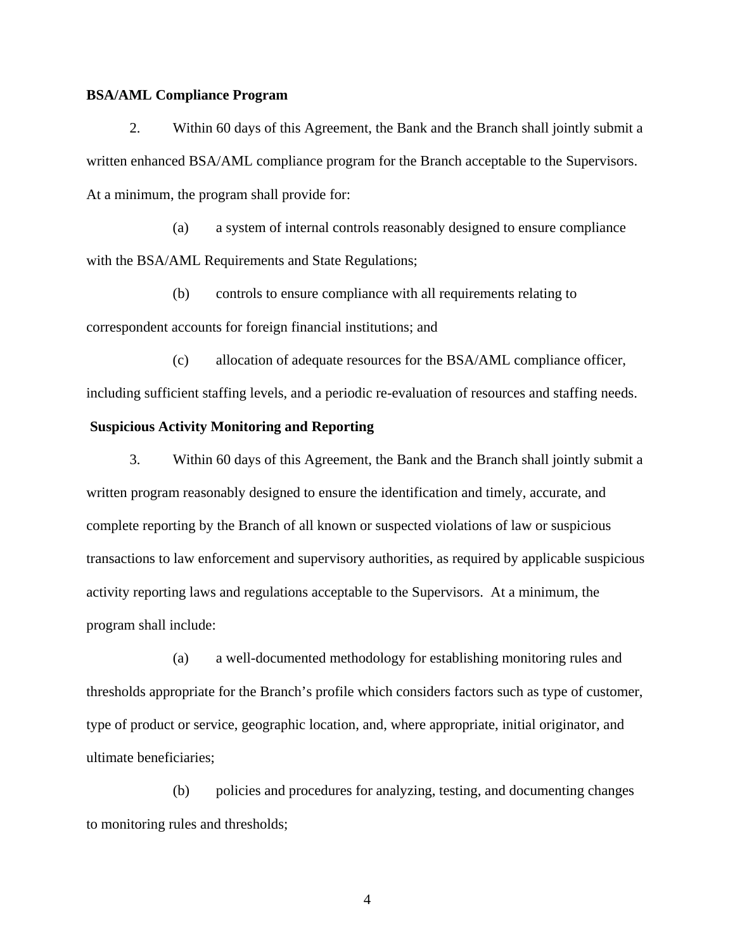# **BSA/AML Compliance Program**

2. Within 60 days of this Agreement, the Bank and the Branch shall jointly submit a written enhanced BSA/AML compliance program for the Branch acceptable to the Supervisors. At a minimum, the program shall provide for:

(a) a system of internal controls reasonably designed to ensure compliance with the BSA/AML Requirements and State Regulations;

(b) controls to ensure compliance with all requirements relating to correspondent accounts for foreign financial institutions; and

(c) allocation of adequate resources for the BSA/AML compliance officer, including sufficient staffing levels, and a periodic re-evaluation of resources and staffing needs.

#### **Suspicious Activity Monitoring and Reporting**

3. Within 60 days of this Agreement, the Bank and the Branch shall jointly submit a written program reasonably designed to ensure the identification and timely, accurate, and complete reporting by the Branch of all known or suspected violations of law or suspicious transactions to law enforcement and supervisory authorities, as required by applicable suspicious activity reporting laws and regulations acceptable to the Supervisors. At a minimum, the program shall include:

(a) a well-documented methodology for establishing monitoring rules and thresholds appropriate for the Branch's profile which considers factors such as type of customer, type of product or service, geographic location, and, where appropriate, initial originator, and ultimate beneficiaries;

(b) policies and procedures for analyzing, testing, and documenting changes to monitoring rules and thresholds;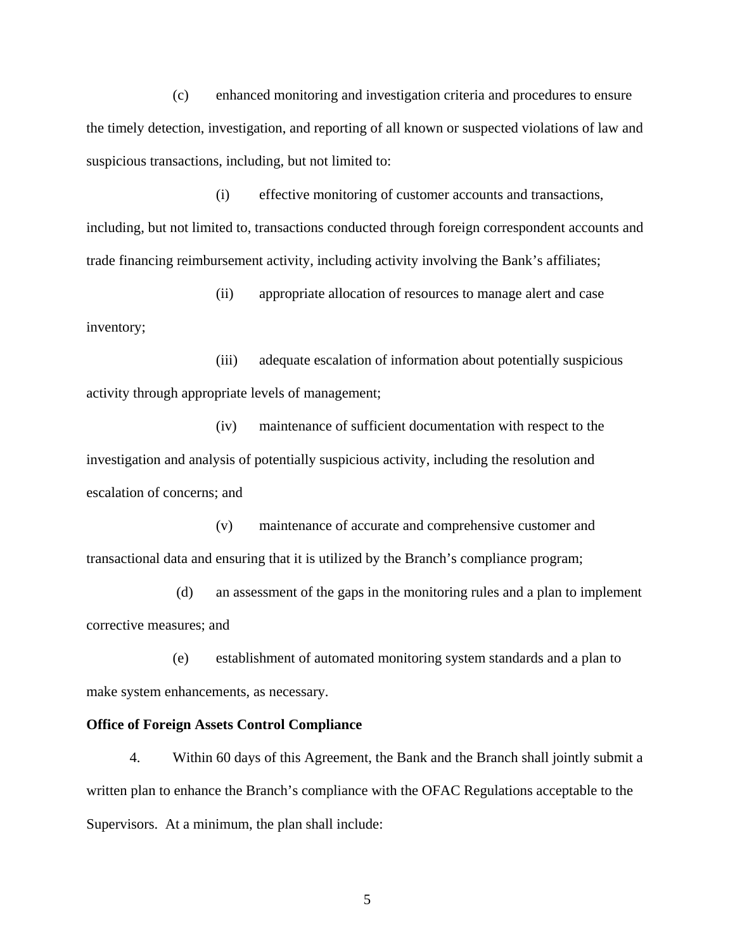(c) enhanced monitoring and investigation criteria and procedures to ensure the timely detection, investigation, and reporting of all known or suspected violations of law and suspicious transactions, including, but not limited to:

(i) effective monitoring of customer accounts and transactions, including, but not limited to, transactions conducted through foreign correspondent accounts and trade financing reimbursement activity, including activity involving the Bank's affiliates;

(ii) appropriate allocation of resources to manage alert and case inventory;

(iii) adequate escalation of information about potentially suspicious activity through appropriate levels of management;

(iv) maintenance of sufficient documentation with respect to the investigation and analysis of potentially suspicious activity, including the resolution and escalation of concerns; and

(v) maintenance of accurate and comprehensive customer and transactional data and ensuring that it is utilized by the Branch's compliance program;

 (d) an assessment of the gaps in the monitoring rules and a plan to implement corrective measures; and

(e) establishment of automated monitoring system standards and a plan to make system enhancements, as necessary.

#### **Office of Foreign Assets Control Compliance**

4. Within 60 days of this Agreement, the Bank and the Branch shall jointly submit a written plan to enhance the Branch's compliance with the OFAC Regulations acceptable to the Supervisors. At a minimum, the plan shall include: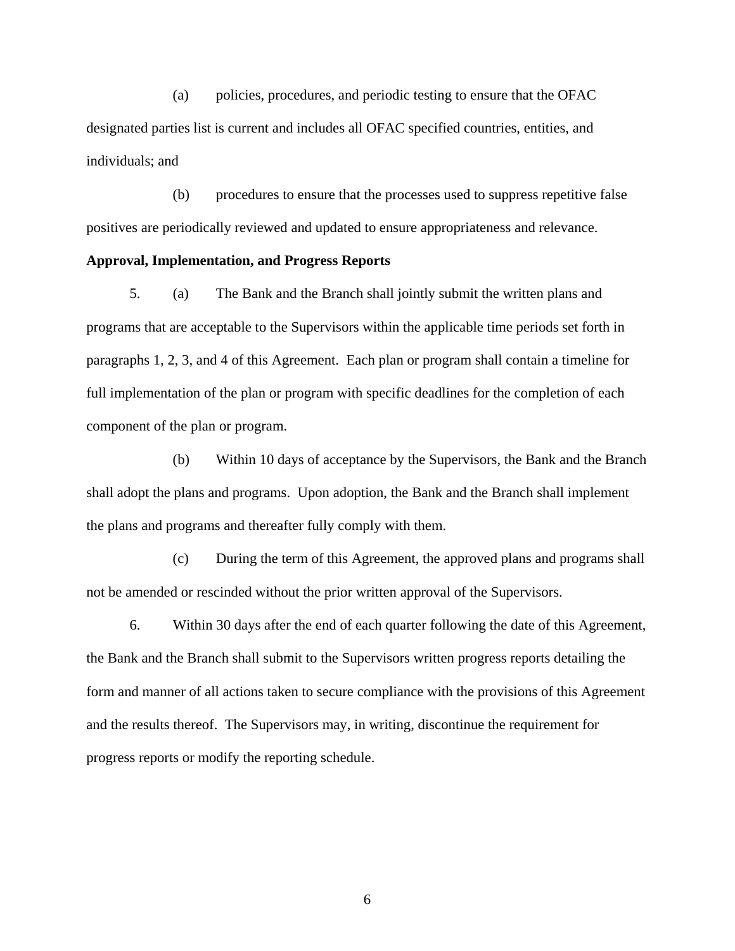(a) policies, procedures, and periodic testing to ensure that the OFAC designated parties list is current and includes all OFAC specified countries, entities, and individuals; and

(b) procedures to ensure that the processes used to suppress repetitive false positives are periodically reviewed and updated to ensure appropriateness and relevance.

### **Approval, Implementation, and Progress Reports**

5. (a) The Bank and the Branch shall jointly submit the written plans and programs that are acceptable to the Supervisors within the applicable time periods set forth in paragraphs 1, 2, 3, and 4 of this Agreement. Each plan or program shall contain a timeline for full implementation of the plan or program with specific deadlines for the completion of each component of the plan or program.

(b) Within 10 days of acceptance by the Supervisors, the Bank and the Branch shall adopt the plans and programs. Upon adoption, the Bank and the Branch shall implement the plans and programs and thereafter fully comply with them.

(c) During the term of this Agreement, the approved plans and programs shall not be amended or rescinded without the prior written approval of the Supervisors.

6. Within 30 days after the end of each quarter following the date of this Agreement, the Bank and the Branch shall submit to the Supervisors written progress reports detailing the form and manner of all actions taken to secure compliance with the provisions of this Agreement and the results thereof. The Supervisors may, in writing, discontinue the requirement for progress reports or modify the reporting schedule.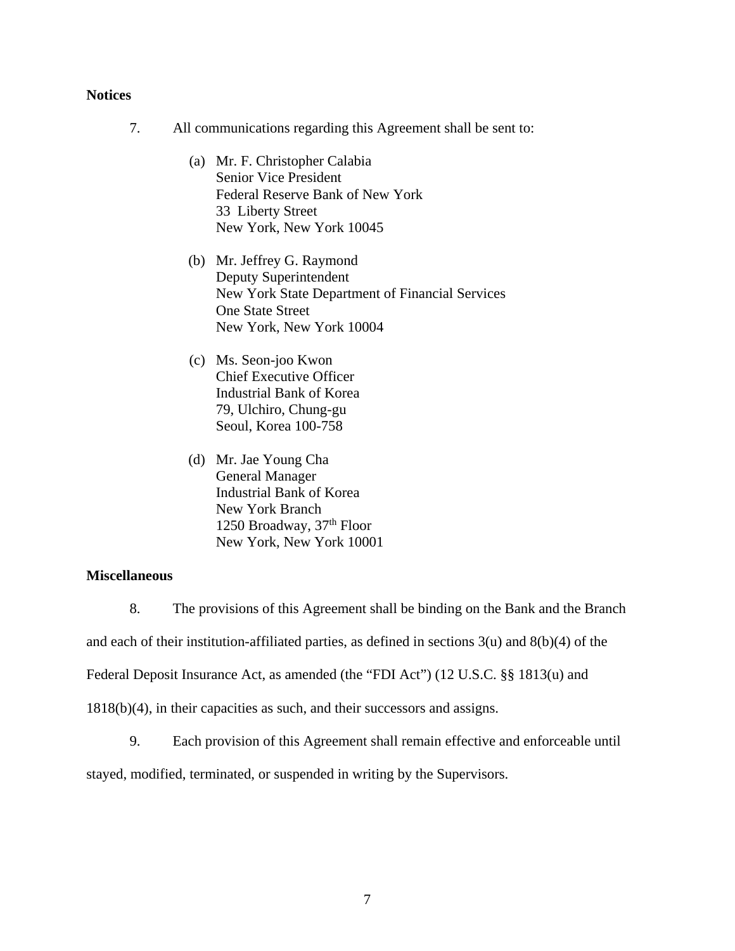### **Notices**

- 7. All communications regarding this Agreement shall be sent to:
	- (a) Mr. F. Christopher Calabia Senior Vice President Federal Reserve Bank of New York 33 Liberty Street New York, New York 10045
	- (b) Mr. Jeffrey G. Raymond Deputy Superintendent New York State Department of Financial Services One State Street New York, New York 10004
	- (c) Ms. Seon-joo Kwon Chief Executive Officer Industrial Bank of Korea 79, Ulchiro, Chung-gu Seoul, Korea 100-758
	- (d) Mr. Jae Young Cha General Manager Industrial Bank of Korea New York Branch 1250 Broadway, 37th Floor New York, New York 10001

# **Miscellaneous**

8. The provisions of this Agreement shall be binding on the Bank and the Branch and each of their institution-affiliated parties, as defined in sections  $3(u)$  and  $8(b)(4)$  of the Federal Deposit Insurance Act, as amended (the "FDI Act") (12 U.S.C. §§ 1813(u) and 1818(b)(4), in their capacities as such, and their successors and assigns.

9. Each provision of this Agreement shall remain effective and enforceable until

stayed, modified, terminated, or suspended in writing by the Supervisors.